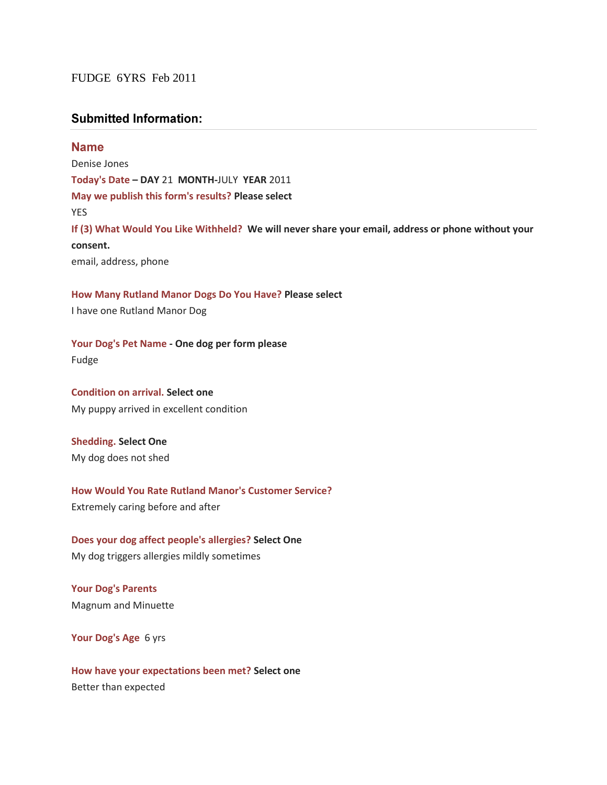## FUDGE 6YRS Feb 2011

## **Submitted Information:**

**Name** Denise Jones **Today's Date – DAY** 21 **MONTH-**JULY **YEAR** 2011 **May we publish this form's results? Please select** YES **If (3) What Would You Like Withheld? We will never share your email, address or phone without your consent.** email, address, phone

**How Many Rutland Manor Dogs Do You Have? Please select** 

I have one Rutland Manor Dog

**Your Dog's Pet Name - One dog per form please**

Fudge

**Condition on arrival. Select one** My puppy arrived in excellent condition

**Shedding. Select One** My dog does not shed

**How Would You Rate Rutland Manor's Customer Service?** Extremely caring before and after

**Does your dog affect people's allergies? Select One** My dog triggers allergies mildly sometimes

**Your Dog's Parents**  Magnum and Minuette

**Your Dog's Age** 6 yrs

**How have your expectations been met? Select one** Better than expected